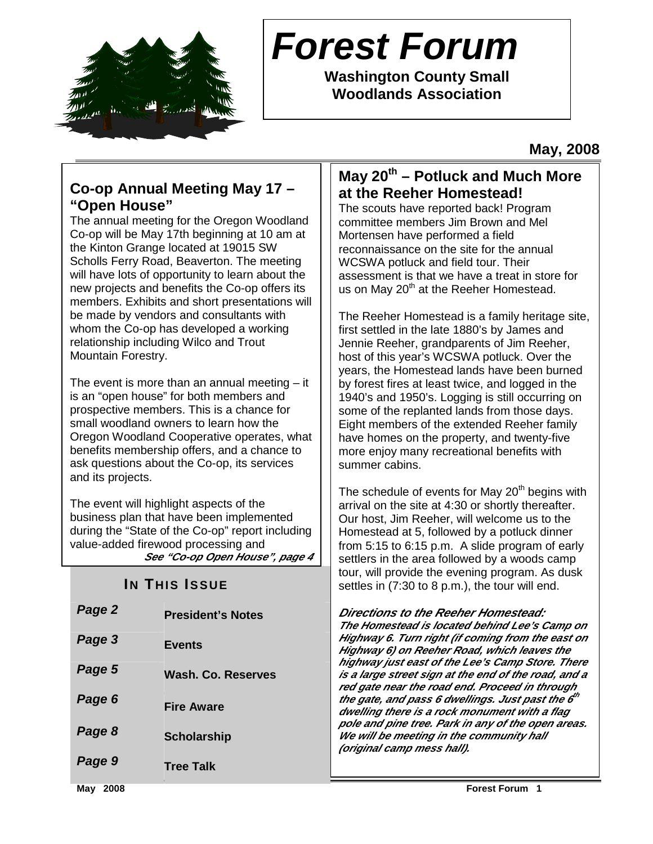

# **Forest Forum**

**Washington County Small Woodlands Association** 

**May, 2008** 

### **Co-op Annual Meeting May 17 – "Open House"**

The annual meeting for the Oregon Woodland Co-op will be May 17th beginning at 10 am at the Kinton Grange located at 19015 SW Scholls Ferry Road, Beaverton. The meeting will have lots of opportunity to learn about the new projects and benefits the Co-op offers its members. Exhibits and short presentations will be made by vendors and consultants with whom the Co-op has developed a working relationship including Wilco and Trout Mountain Forestry.

The event is more than an annual meeting  $-$  it is an "open house" for both members and prospective members. This is a chance for small woodland owners to learn how the Oregon Woodland Cooperative operates, what benefits membership offers, and a chance to ask questions about the Co-op, its services and its projects.

The event will highlight aspects of the business plan that have been implemented during the "State of the Co-op" report including value-added firewood processing and **See "Co-op Open House", page 4**

### **IN THIS ISSUE**

| Page 2 | <b>President's Notes</b> |
|--------|--------------------------|
| Page 3 | <b>Events</b>            |
| Page 5 | Wash. Co. Reserves       |
| Page 6 | <b>Fire Aware</b>        |
| Page 8 | <b>Scholarship</b>       |
| Page 9 | <b>Tree Talk</b>         |

### **May 20th – Potluck and Much More at the Reeher Homestead!**

The scouts have reported back! Program committee members Jim Brown and Mel Mortensen have performed a field reconnaissance on the site for the annual WCSWA potluck and field tour. Their assessment is that we have a treat in store for us on May  $20<sup>th</sup>$  at the Reeher Homestead.

The Reeher Homestead is a family heritage site, first settled in the late 1880's by James and Jennie Reeher, grandparents of Jim Reeher, host of this year's WCSWA potluck. Over the years, the Homestead lands have been burned by forest fires at least twice, and logged in the 1940's and 1950's. Logging is still occurring on some of the replanted lands from those days. Eight members of the extended Reeher family have homes on the property, and twenty-five more enjoy many recreational benefits with summer cabins.

The schedule of events for May  $20<sup>th</sup>$  begins with arrival on the site at 4:30 or shortly thereafter. Our host, Jim Reeher, will welcome us to the Homestead at 5, followed by a potluck dinner from 5:15 to 6:15 p.m. A slide program of early settlers in the area followed by a woods camp tour, will provide the evening program. As dusk settles in (7:30 to 8 p.m.), the tour will end.

**Directions to the Reeher Homestead:** 

**The Homestead is located behind Lee's Camp on Highway 6. Turn right (if coming from the east on Highway 6) on Reeher Road, which leaves the highway just east of the Lee's Camp Store. There is a large street sign at the end of the road, and a red gate near the road end. Proceed in through the gate, and pass 6 dwellings. Just past the 6 th dwelling there is a rock monument with a flag pole and pine tree. Park in any of the open areas. We will be meeting in the community hall (original camp mess hall).**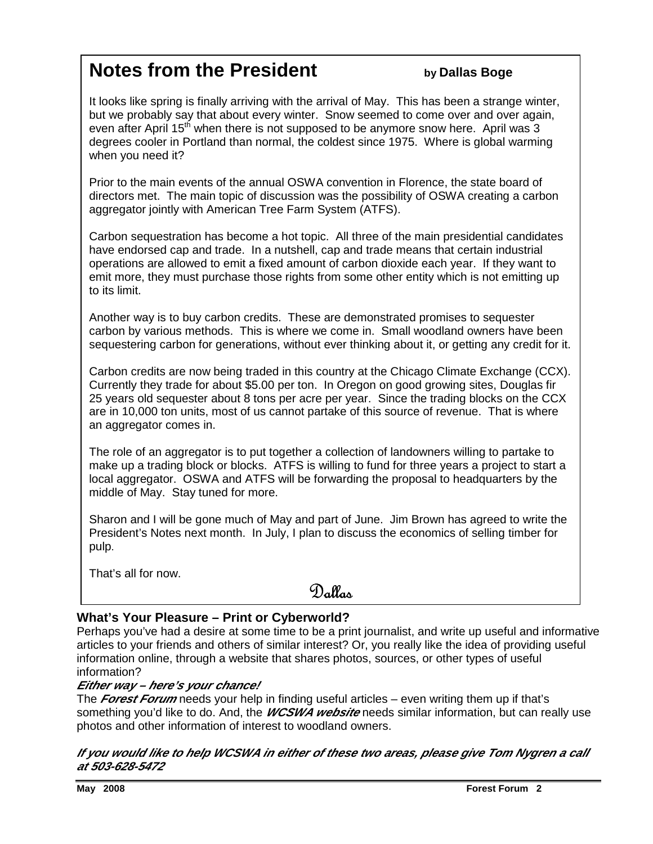## **Notes from the President** *by Dallas Boge*

It looks like spring is finally arriving with the arrival of May. This has been a strange winter, but we probably say that about every winter. Snow seemed to come over and over again, even after April  $15<sup>th</sup>$  when there is not supposed to be anymore snow here. April was 3 degrees cooler in Portland than normal, the coldest since 1975. Where is global warming when you need it?

Prior to the main events of the annual OSWA convention in Florence, the state board of directors met. The main topic of discussion was the possibility of OSWA creating a carbon aggregator jointly with American Tree Farm System (ATFS).

Carbon sequestration has become a hot topic. All three of the main presidential candidates have endorsed cap and trade. In a nutshell, cap and trade means that certain industrial operations are allowed to emit a fixed amount of carbon dioxide each year. If they want to emit more, they must purchase those rights from some other entity which is not emitting up to its limit.

Another way is to buy carbon credits. These are demonstrated promises to sequester carbon by various methods. This is where we come in. Small woodland owners have been sequestering carbon for generations, without ever thinking about it, or getting any credit for it.

Carbon credits are now being traded in this country at the Chicago Climate Exchange (CCX). Currently they trade for about \$5.00 per ton. In Oregon on good growing sites, Douglas fir 25 years old sequester about 8 tons per acre per year. Since the trading blocks on the CCX are in 10,000 ton units, most of us cannot partake of this source of revenue. That is where an aggregator comes in.

The role of an aggregator is to put together a collection of landowners willing to partake to make up a trading block or blocks. ATFS is willing to fund for three years a project to start a local aggregator. OSWA and ATFS will be forwarding the proposal to headquarters by the middle of May. Stay tuned for more.

Sharon and I will be gone much of May and part of June. Jim Brown has agreed to write the President's Notes next month. In July, I plan to discuss the economics of selling timber for pulp.

That's all for now.

### Dallas

#### **What's Your Pleasure – Print or Cyberworld?**

Perhaps you've had a desire at some time to be a print journalist, and write up useful and informative articles to your friends and others of similar interest? Or, you really like the idea of providing useful information online, through a website that shares photos, sources, or other types of useful information?

#### **Either way – here's your chance!**

The **Forest Forum** needs your help in finding useful articles – even writing them up if that's something you'd like to do. And, the **WCSWA website** needs similar information, but can really use photos and other information of interest to woodland owners.

#### **If you would like to help WCSWA in either of these two areas, please give Tom Nygren a call at 503-628-5472**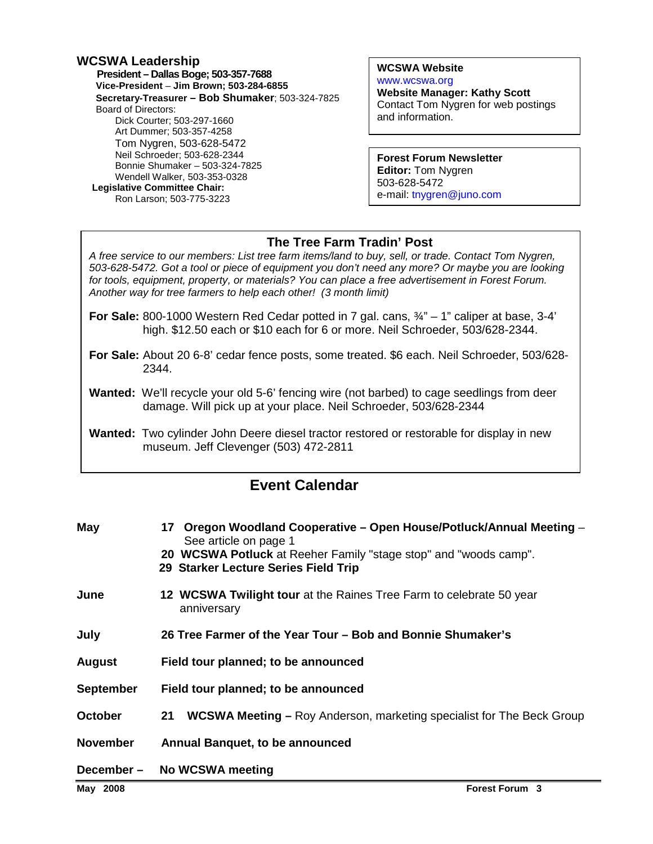#### **WCSWA Leadership**

 **President – Dallas Boge; 503-357-7688 Vice-President** – **Jim Brown; 503-284-6855 Secretary-Treasurer – Bob Shumaker**; 503-324-7825 Board of Directors: Dick Courter; 503-297-1660 Art Dummer; 503-357-4258 Tom Nygren, 503-628-5472 Neil Schroeder; 503-628-2344 Bonnie Shumaker – 503-324-7825 Wendell Walker, 503-353-0328  **Legislative Committee Chair:**  Ron Larson; 503-775-3223

**WCSWA Website** www.wcswa.org **Website Manager: Kathy Scott** Contact Tom Nygren for web postings and information.

**Forest Forum Newsletter Editor:** Tom Nygren 503-628-5472 e-mail: tnygren@juno.com

#### **The Tree Farm Tradin' Post**

 for tools, equipment, property, or materials? You can place a free advertisement in Forest Forum. A free service to our members: List tree farm items/land to buy, sell, or trade. Contact Tom Nygren, 503-628-5472. Got a tool or piece of equipment you don't need any more? Or maybe you are looking Another way for tree farmers to help each other! (3 month limit)

- **For Sale:** 800-1000 Western Red Cedar potted in 7 gal. cans, ¾" 1" caliper at base, 3-4' high. \$12.50 each or \$10 each for 6 or more. Neil Schroeder, 503/628-2344.
- **For Sale:** About 20 6-8' cedar fence posts, some treated. \$6 each. Neil Schroeder, 503/628- 2344.
- **Wanted:** We'll recycle your old 5-6' fencing wire (not barbed) to cage seedlings from deer damage. Will pick up at your place. Neil Schroeder, 503/628-2344
- **Wanted:** Two cylinder John Deere diesel tractor restored or restorable for display in new museum. Jeff Clevenger (503) 472-2811

### **Event Calendar**

| May              | 17 Oregon Woodland Cooperative – Open House/Potluck/Annual Meeting –<br>See article on page 1            |
|------------------|----------------------------------------------------------------------------------------------------------|
|                  | 20 WCSWA Potluck at Reeher Family "stage stop" and "woods camp".<br>29 Starker Lecture Series Field Trip |
| June             | 12 WCSWA Twilight tour at the Raines Tree Farm to celebrate 50 year<br>anniversary                       |
| July             | 26 Tree Farmer of the Year Tour – Bob and Bonnie Shumaker's                                              |
| <b>August</b>    | Field tour planned; to be announced                                                                      |
| <b>September</b> | Field tour planned; to be announced                                                                      |
| <b>October</b>   | <b>WCSWA Meeting - Roy Anderson, marketing specialist for The Beck Group</b><br>21                       |
| November         | Annual Banquet, to be announced                                                                          |
| December-        | No WCSWA meeting                                                                                         |
| May 2008         | <b>Forest Forum 3</b>                                                                                    |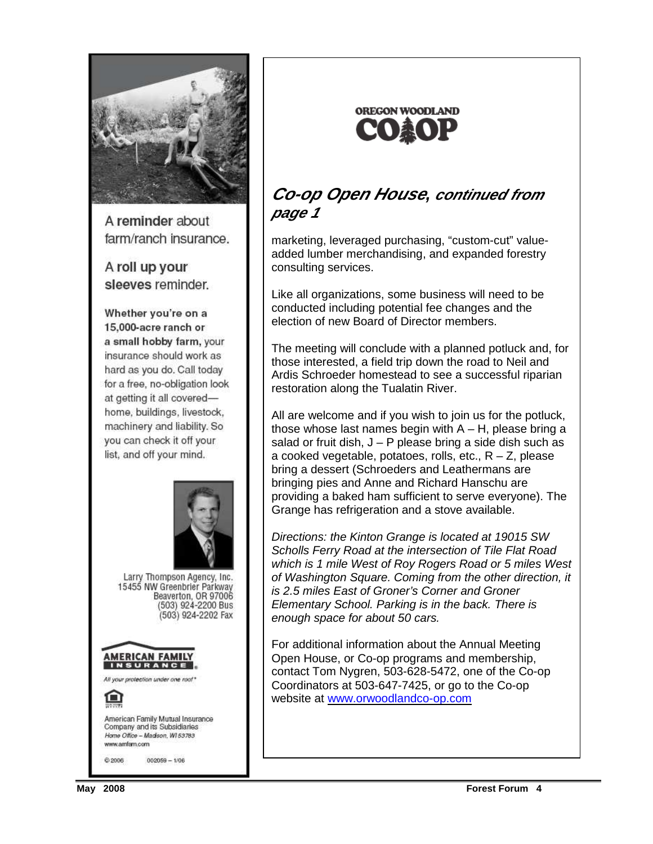

A reminder about farm/ranch insurance.

A roll up your sleeves reminder.

Whether you're on a 15,000-acre ranch or a small hobby farm, your insurance should work as hard as you do. Call today for a free, no-obligation look at getting it all coveredhome, buildings, livestock, machinery and liability. So you can check it off your list, and off your mind.





### **Co-op Open House, continued from page 1**

marketing, leveraged purchasing, "custom-cut" valueadded lumber merchandising, and expanded forestry consulting services.

Like all organizations, some business will need to be conducted including potential fee changes and the election of new Board of Director members.

The meeting will conclude with a planned potluck and, for those interested, a field trip down the road to Neil and Ardis Schroeder homestead to see a successful riparian restoration along the Tualatin River.

All are welcome and if you wish to join us for the potluck, those whose last names begin with  $A - H$ , please bring a salad or fruit dish,  $J - P$  please bring a side dish such as a cooked vegetable, potatoes, rolls, etc.,  $R - Z$ , please bring a dessert (Schroeders and Leathermans are bringing pies and Anne and Richard Hanschu are providing a baked ham sufficient to serve everyone). The Grange has refrigeration and a stove available.

Directions: the Kinton Grange is located at 19015 SW Scholls Ferry Road at the intersection of Tile Flat Road which is 1 mile West of Roy Rogers Road or 5 miles West of Washington Square. Coming from the other direction, it is 2.5 miles East of Groner's Corner and Groner Elementary School. Parking is in the back. There is enough space for about 50 cars.

For additional information about the Annual Meeting Open House, or Co-op programs and membership, contact Tom Nygren, 503-628-5472, one of the Co-op Coordinators at 503-647-7425, or go to the Co-op website at www.orwoodlandco-op.com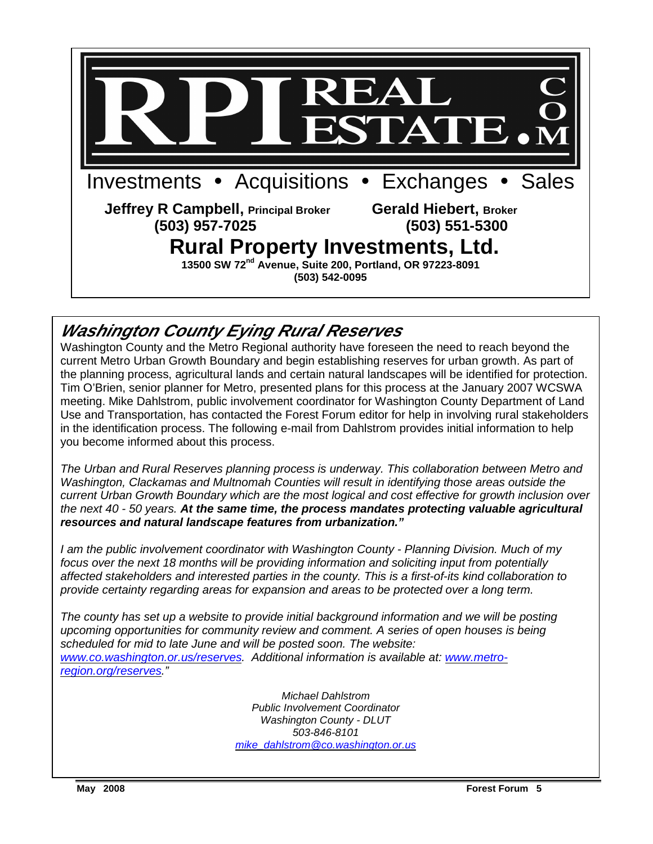

### **Washington County Eying Rural Reserves**

Washington County and the Metro Regional authority have foreseen the need to reach beyond the current Metro Urban Growth Boundary and begin establishing reserves for urban growth. As part of the planning process, agricultural lands and certain natural landscapes will be identified for protection. Tim O'Brien, senior planner for Metro, presented plans for this process at the January 2007 WCSWA meeting. Mike Dahlstrom, public involvement coordinator for Washington County Department of Land Use and Transportation, has contacted the Forest Forum editor for help in involving rural stakeholders in the identification process. The following e-mail from Dahlstrom provides initial information to help you become informed about this process.

The Urban and Rural Reserves planning process is underway. This collaboration between Metro and Washington, Clackamas and Multnomah Counties will result in identifying those areas outside the current Urban Growth Boundary which are the most logical and cost effective for growth inclusion over the next 40 - 50 years. **At the same time, the process mandates protecting valuable agricultural resources and natural landscape features from urbanization."**

 focus over the next 18 months will be providing information and soliciting input from potentially I am the public involvement coordinator with Washington County - Planning Division. Much of my affected stakeholders and interested parties in the county. This is a first-of-its kind collaboration to provide certainty regarding areas for expansion and areas to be protected over a long term.

The county has set up a website to provide initial background information and we will be posting upcoming opportunities for community review and comment. A series of open houses is being scheduled for mid to late June and will be posted soon. The website: www.co.washington.or.us/reserves. Additional information is available at: www.metroregion.org/reserves."

> Michael Dahlstrom Public Involvement Coordinator Washington County - DLUT 503-846-8101 mike\_dahlstrom@co.washington.or.us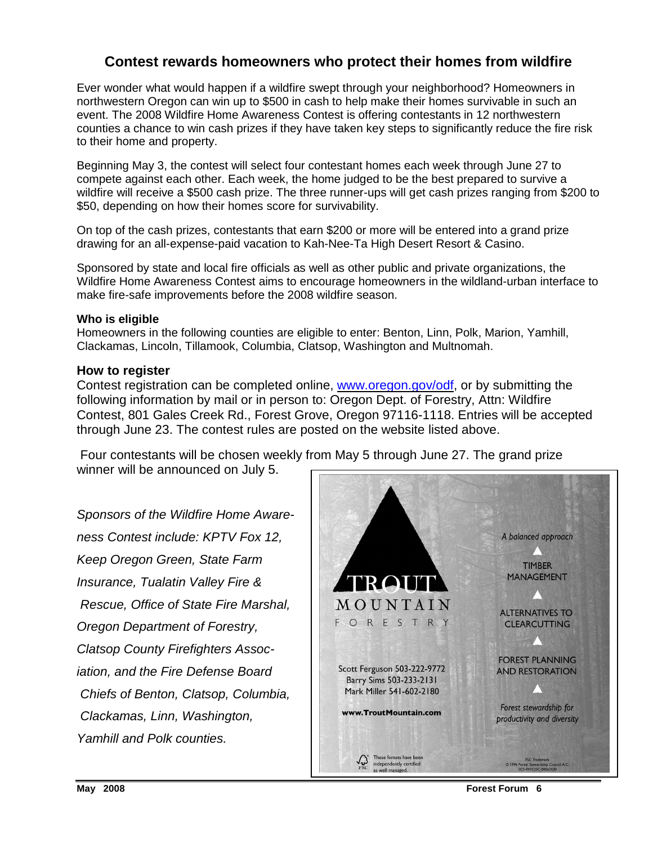#### **Contest rewards homeowners who protect their homes from wildfire**

Ever wonder what would happen if a wildfire swept through your neighborhood? Homeowners in northwestern Oregon can win up to \$500 in cash to help make their homes survivable in such an event. The 2008 Wildfire Home Awareness Contest is offering contestants in 12 northwestern counties a chance to win cash prizes if they have taken key steps to significantly reduce the fire risk to their home and property.

Beginning May 3, the contest will select four contestant homes each week through June 27 to compete against each other. Each week, the home judged to be the best prepared to survive a wildfire will receive a \$500 cash prize. The three runner-ups will get cash prizes ranging from \$200 to \$50, depending on how their homes score for survivability.

On top of the cash prizes, contestants that earn \$200 or more will be entered into a grand prize drawing for an all-expense-paid vacation to Kah-Nee-Ta High Desert Resort & Casino.

Sponsored by state and local fire officials as well as other public and private organizations, the Wildfire Home Awareness Contest aims to encourage homeowners in the wildland-urban interface to make fire-safe improvements before the 2008 wildfire season.

#### **Who is eligible**

Homeowners in the following counties are eligible to enter: Benton, Linn, Polk, Marion, Yamhill, Clackamas, Lincoln, Tillamook, Columbia, Clatsop, Washington and Multnomah.

#### **How to register**

Contest registration can be completed online, www.oregon.gov/odf, or by submitting the following information by mail or in person to: Oregon Dept. of Forestry, Attn: Wildfire Contest, 801 Gales Creek Rd., Forest Grove, Oregon 97116-1118. Entries will be accepted through June 23. The contest rules are posted on the website listed above.

 Four contestants will be chosen weekly from May 5 through June 27. The grand prize winner will be announced on July 5.

Sponsors of the Wildfire Home Awareness Contest include: KPTV Fox 12, Keep Oregon Green, State Farm Insurance, Tualatin Valley Fire & Rescue, Office of State Fire Marshal, Oregon Department of Forestry, Clatsop County Firefighters Association, and the Fire Defense Board Chiefs of Benton, Clatsop, Columbia, Clackamas, Linn, Washington, Yamhill and Polk counties.

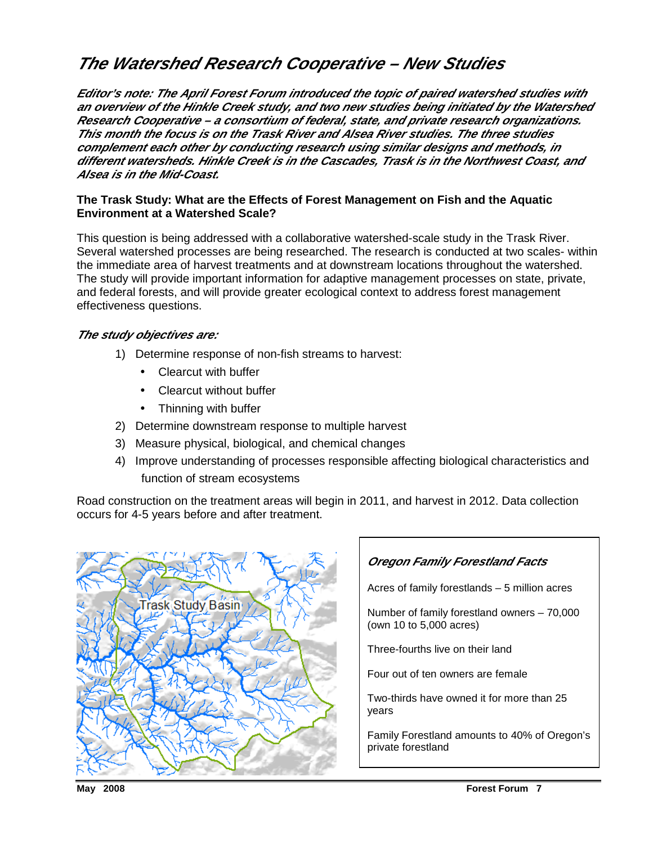### **The Watershed Research Cooperative – New Studies**

**Editor's note: The April Forest Forum introduced the topic of paired watershed studies with an overview of the Hinkle Creek study, and two new studies being initiated by the Watershed Research Cooperative – a consortium of federal, state, and private research organizations. This month the focus is on the Trask River and Alsea River studies. The three studies complement each other by conducting research using similar designs and methods, in different watersheds. Hinkle Creek is in the Cascades, Trask is in the Northwest Coast, and Alsea is in the Mid-Coast.** 

#### **The Trask Study: What are the Effects of Forest Management on Fish and the Aquatic Environment at a Watershed Scale?**

This question is being addressed with a collaborative watershed-scale study in the Trask River. Several watershed processes are being researched. The research is conducted at two scales- within the immediate area of harvest treatments and at downstream locations throughout the watershed. The study will provide important information for adaptive management processes on state, private, and federal forests, and will provide greater ecological context to address forest management effectiveness questions.

#### **The study objectives are:**

- 1) Determine response of non-fish streams to harvest:
	- Clearcut with buffer
	- Clearcut without buffer
	- Thinning with buffer
- 2) Determine downstream response to multiple harvest
- 3) Measure physical, biological, and chemical changes
- 4) Improve understanding of processes responsible affecting biological characteristics and function of stream ecosystems

Road construction on the treatment areas will begin in 2011, and harvest in 2012. Data collection occurs for 4-5 years before and after treatment.



#### **Oregon Family Forestland Facts**

Acres of family forestlands – 5 million acres

Number of family forestland owners – 70,000 (own 10 to 5,000 acres)

Three-fourths live on their land

Four out of ten owners are female

Two-thirds have owned it for more than 25 years

Family Forestland amounts to 40% of Oregon's private forestland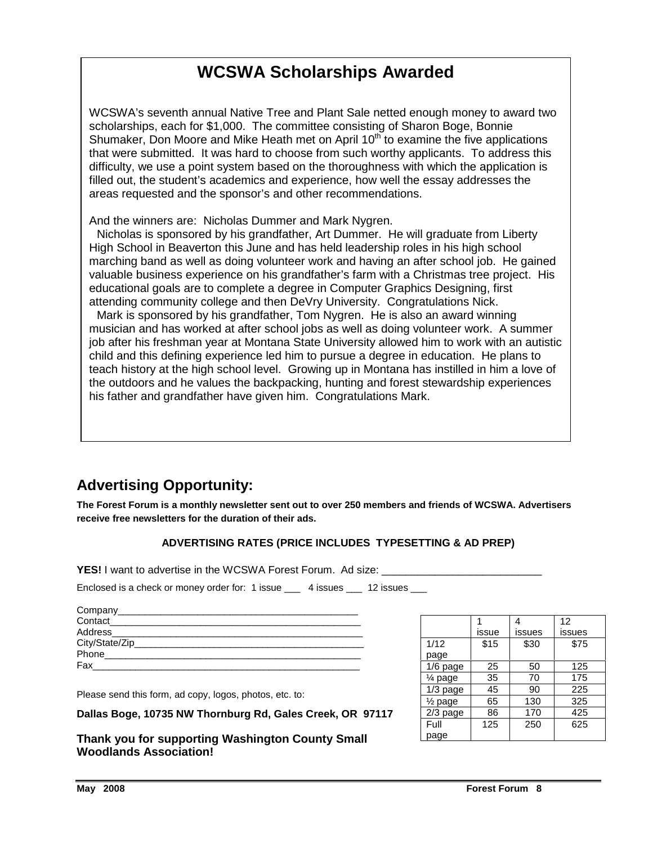### **WCSWA Scholarships Awarded**

WCSWA's seventh annual Native Tree and Plant Sale netted enough money to award two scholarships, each for \$1,000. The committee consisting of Sharon Boge, Bonnie Shumaker, Don Moore and Mike Heath met on April  $10<sup>th</sup>$  to examine the five applications that were submitted. It was hard to choose from such worthy applicants. To address this difficulty, we use a point system based on the thoroughness with which the application is filled out, the student's academics and experience, how well the essay addresses the areas requested and the sponsor's and other recommendations.

And the winners are: Nicholas Dummer and Mark Nygren.

 Nicholas is sponsored by his grandfather, Art Dummer. He will graduate from Liberty High School in Beaverton this June and has held leadership roles in his high school marching band as well as doing volunteer work and having an after school job. He gained valuable business experience on his grandfather's farm with a Christmas tree project. His educational goals are to complete a degree in Computer Graphics Designing, first attending community college and then DeVry University. Congratulations Nick.

 Mark is sponsored by his grandfather, Tom Nygren. He is also an award winning musician and has worked at after school jobs as well as doing volunteer work. A summer job after his freshman year at Montana State University allowed him to work with an autistic child and this defining experience led him to pursue a degree in education. He plans to teach history at the high school level. Growing up in Montana has instilled in him a love of the outdoors and he values the backpacking, hunting and forest stewardship experiences his father and grandfather have given him. Congratulations Mark.

### **Advertising Opportunity:**

**The Forest Forum is a monthly newsletter sent out to over 250 members and friends of WCSWA. Advertisers receive free newsletters for the duration of their ads.** 

#### **ADVERTISING RATES (PRICE INCLUDES TYPESETTING & AD PREP)**

**YES!** I want to advertise in the WCSWA Forest Forum. Ad size:

Enclosed is a check or money order for: 1 issue \_\_\_\_ 4 issues \_\_\_ 12 issues \_\_\_

| Company______________________ |  |
|-------------------------------|--|
| Contact                       |  |
| Address_____________________  |  |
|                               |  |
| Phone                         |  |
| Fax                           |  |

Please send this form, ad copy, logos, photos, etc. to:

**Dallas Boge, 10735 NW Thornburg Rd, Gales Creek, OR 97117** 

**Thank you for supporting Washington County Small Woodlands Association!** 

|                    |       |        | 12     |
|--------------------|-------|--------|--------|
|                    | issue | issues | issues |
| 1/12               | \$15  | \$30   | \$75   |
| page               |       |        |        |
| $1/6$ page         | 25    | 50     | 125    |
| $\frac{1}{4}$ page | 35    | 70     | 175    |
| $1/3$ page         | 45    | 90     | 225    |
| $\frac{1}{2}$ page | 65    | 130    | 325    |
| $2/3$ page         | 86    | 170    | 425    |
| Full               | 125   | 250    | 625    |
| page               |       |        |        |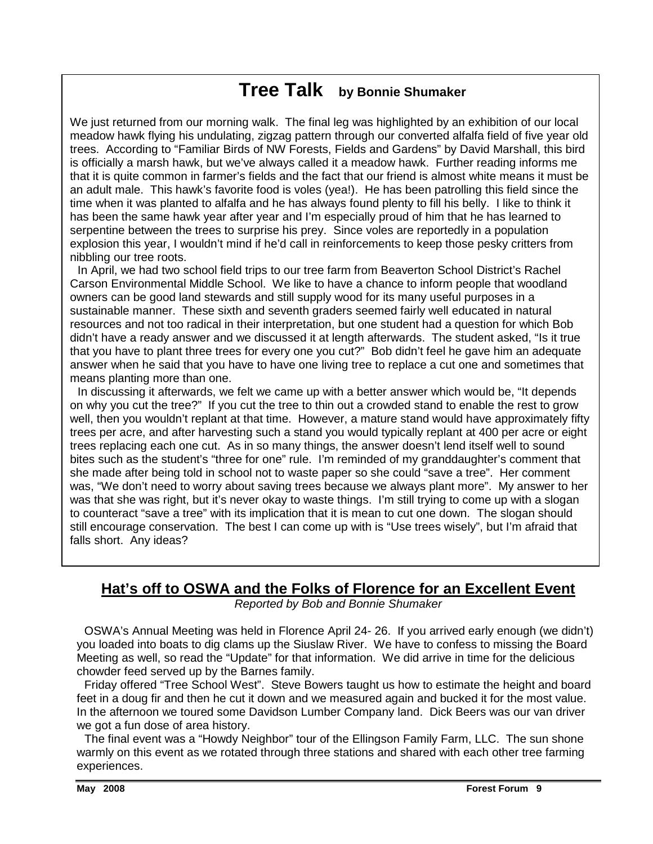### **Tree Talk by Bonnie Shumaker**

We just returned from our morning walk. The final leg was highlighted by an exhibition of our local meadow hawk flying his undulating, zigzag pattern through our converted alfalfa field of five year old trees. According to "Familiar Birds of NW Forests, Fields and Gardens" by David Marshall, this bird is officially a marsh hawk, but we've always called it a meadow hawk. Further reading informs me that it is quite common in farmer's fields and the fact that our friend is almost white means it must be an adult male. This hawk's favorite food is voles (yea!). He has been patrolling this field since the time when it was planted to alfalfa and he has always found plenty to fill his belly. I like to think it has been the same hawk year after year and I'm especially proud of him that he has learned to serpentine between the trees to surprise his prey. Since voles are reportedly in a population explosion this year, I wouldn't mind if he'd call in reinforcements to keep those pesky critters from nibbling our tree roots.

 In April, we had two school field trips to our tree farm from Beaverton School District's Rachel Carson Environmental Middle School. We like to have a chance to inform people that woodland owners can be good land stewards and still supply wood for its many useful purposes in a sustainable manner. These sixth and seventh graders seemed fairly well educated in natural resources and not too radical in their interpretation, but one student had a question for which Bob didn't have a ready answer and we discussed it at length afterwards. The student asked, "Is it true that you have to plant three trees for every one you cut?" Bob didn't feel he gave him an adequate answer when he said that you have to have one living tree to replace a cut one and sometimes that means planting more than one.

 In discussing it afterwards, we felt we came up with a better answer which would be, "It depends on why you cut the tree?" If you cut the tree to thin out a crowded stand to enable the rest to grow well, then you wouldn't replant at that time. However, a mature stand would have approximately fifty trees per acre, and after harvesting such a stand you would typically replant at 400 per acre or eight trees replacing each one cut. As in so many things, the answer doesn't lend itself well to sound bites such as the student's "three for one" rule. I'm reminded of my granddaughter's comment that she made after being told in school not to waste paper so she could "save a tree". Her comment was, "We don't need to worry about saving trees because we always plant more". My answer to her was that she was right, but it's never okay to waste things. I'm still trying to come up with a slogan to counteract "save a tree" with its implication that it is mean to cut one down. The slogan should still encourage conservation. The best I can come up with is "Use trees wisely", but I'm afraid that falls short. Any ideas?

### **Hat's off to OSWA and the Folks of Florence for an Excellent Event**

Reported by Bob and Bonnie Shumaker

OSWA's Annual Meeting was held in Florence April 24- 26. If you arrived early enough (we didn't) you loaded into boats to dig clams up the Siuslaw River. We have to confess to missing the Board Meeting as well, so read the "Update" for that information. We did arrive in time for the delicious chowder feed served up by the Barnes family.

 Friday offered "Tree School West". Steve Bowers taught us how to estimate the height and board feet in a doug fir and then he cut it down and we measured again and bucked it for the most value. In the afternoon we toured some Davidson Lumber Company land. Dick Beers was our van driver we got a fun dose of area history.

The final event was a "Howdy Neighbor" tour of the Ellingson Family Farm, LLC. The sun shone warmly on this event as we rotated through three stations and shared with each other tree farming experiences.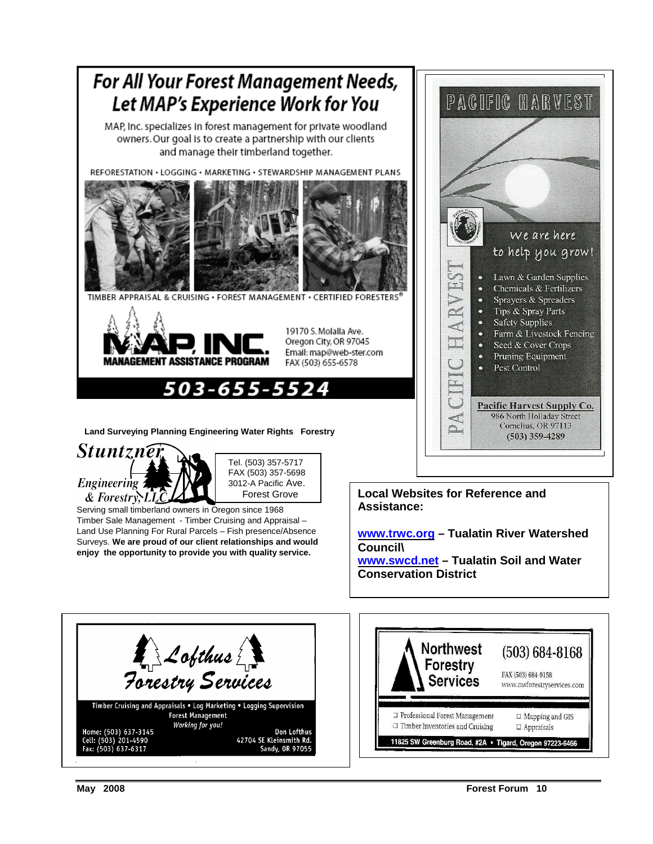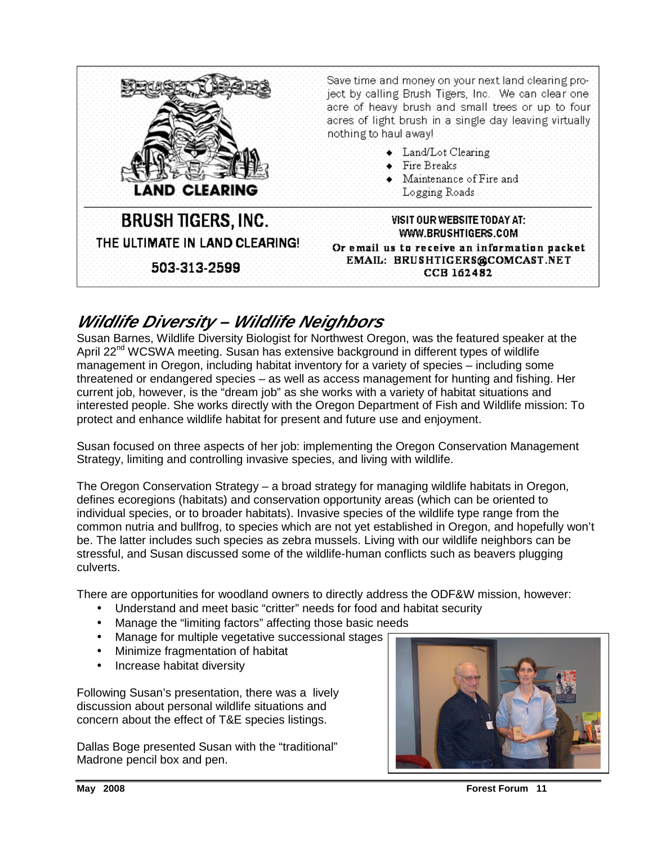

### **Wildlife Diversity – Wildlife Neighbors**

Susan Barnes, Wildlife Diversity Biologist for Northwest Oregon, was the featured speaker at the April 22<sup>nd</sup> WCSWA meeting. Susan has extensive background in different types of wildlife management in Oregon, including habitat inventory for a variety of species – including some threatened or endangered species – as well as access management for hunting and fishing. Her current job, however, is the "dream job" as she works with a variety of habitat situations and interested people. She works directly with the Oregon Department of Fish and Wildlife mission: To protect and enhance wildlife habitat for present and future use and enjoyment.

Susan focused on three aspects of her job: implementing the Oregon Conservation Management Strategy, limiting and controlling invasive species, and living with wildlife.

The Oregon Conservation Strategy – a broad strategy for managing wildlife habitats in Oregon, defines ecoregions (habitats) and conservation opportunity areas (which can be oriented to individual species, or to broader habitats). Invasive species of the wildlife type range from the common nutria and bullfrog, to species which are not yet established in Oregon, and hopefully won't be. The latter includes such species as zebra mussels. Living with our wildlife neighbors can be stressful, and Susan discussed some of the wildlife-human conflicts such as beavers plugging culverts.

There are opportunities for woodland owners to directly address the ODF&W mission, however:

- Understand and meet basic "critter" needs for food and habitat security
- Manage the "limiting factors" affecting those basic needs
- Manage for multiple vegetative successional stages
- Minimize fragmentation of habitat
- Increase habitat diversity

Following Susan's presentation, there was a lively discussion about personal wildlife situations and concern about the effect of T&E species listings.

Dallas Boge presented Susan with the "traditional" Madrone pencil box and pen.



**May 2008 Forest Forum 11**